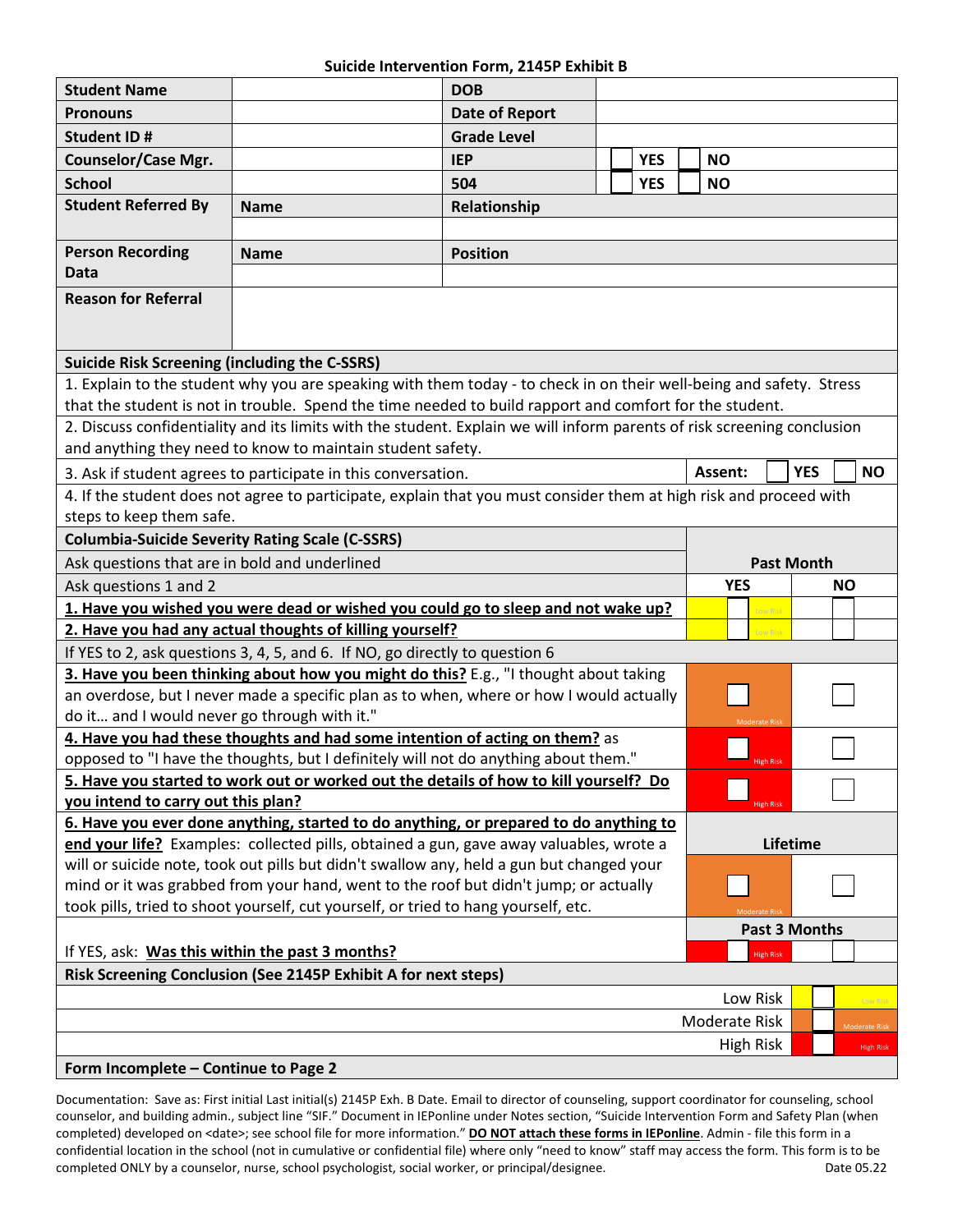### **Suicide Intervention Form, 2145P Exhibit B**

| <b>Student Name</b>                                                                                                         |             | <b>DOB</b>         |  |            |  |                                    |                  |                      |  |  |
|-----------------------------------------------------------------------------------------------------------------------------|-------------|--------------------|--|------------|--|------------------------------------|------------------|----------------------|--|--|
| <b>Pronouns</b>                                                                                                             |             | Date of Report     |  |            |  |                                    |                  |                      |  |  |
| <b>Student ID#</b>                                                                                                          |             | <b>Grade Level</b> |  |            |  |                                    |                  |                      |  |  |
| <b>Counselor/Case Mgr.</b>                                                                                                  |             | <b>IEP</b>         |  | <b>YES</b> |  | <b>NO</b>                          |                  |                      |  |  |
| <b>School</b>                                                                                                               |             | 504                |  | <b>YES</b> |  |                                    |                  |                      |  |  |
| <b>Student Referred By</b>                                                                                                  |             |                    |  |            |  | <b>NO</b>                          |                  |                      |  |  |
|                                                                                                                             | <b>Name</b> | Relationship       |  |            |  |                                    |                  |                      |  |  |
| <b>Person Recording</b>                                                                                                     |             |                    |  |            |  |                                    |                  |                      |  |  |
| <b>Data</b>                                                                                                                 | <b>Name</b> | <b>Position</b>    |  |            |  |                                    |                  |                      |  |  |
| <b>Reason for Referral</b>                                                                                                  |             |                    |  |            |  |                                    |                  |                      |  |  |
|                                                                                                                             |             |                    |  |            |  |                                    |                  |                      |  |  |
|                                                                                                                             |             |                    |  |            |  |                                    |                  |                      |  |  |
| <b>Suicide Risk Screening (including the C-SSRS)</b>                                                                        |             |                    |  |            |  |                                    |                  |                      |  |  |
| 1. Explain to the student why you are speaking with them today - to check in on their well-being and safety. Stress         |             |                    |  |            |  |                                    |                  |                      |  |  |
| that the student is not in trouble. Spend the time needed to build rapport and comfort for the student.                     |             |                    |  |            |  |                                    |                  |                      |  |  |
| 2. Discuss confidentiality and its limits with the student. Explain we will inform parents of risk screening conclusion     |             |                    |  |            |  |                                    |                  |                      |  |  |
| and anything they need to know to maintain student safety.                                                                  |             |                    |  |            |  |                                    |                  |                      |  |  |
| 3. Ask if student agrees to participate in this conversation.                                                               |             |                    |  |            |  | <b>YES</b><br><b>NO</b><br>Assent: |                  |                      |  |  |
| 4. If the student does not agree to participate, explain that you must consider them at high risk and proceed with          |             |                    |  |            |  |                                    |                  |                      |  |  |
| steps to keep them safe.                                                                                                    |             |                    |  |            |  |                                    |                  |                      |  |  |
| <b>Columbia-Suicide Severity Rating Scale (C-SSRS)</b>                                                                      |             |                    |  |            |  |                                    |                  |                      |  |  |
| Ask questions that are in bold and underlined                                                                               |             |                    |  |            |  | <b>Past Month</b>                  |                  |                      |  |  |
| Ask questions 1 and 2                                                                                                       |             |                    |  |            |  | <b>YES</b>                         |                  | <b>NO</b>            |  |  |
| 1. Have you wished you were dead or wished you could go to sleep and not wake up?                                           |             |                    |  |            |  |                                    | Low Risk         |                      |  |  |
| 2. Have you had any actual thoughts of killing yourself?<br>Low Risk                                                        |             |                    |  |            |  |                                    |                  |                      |  |  |
| If YES to 2, ask questions 3, 4, 5, and 6. If NO, go directly to question 6                                                 |             |                    |  |            |  |                                    |                  |                      |  |  |
| 3. Have you been thinking about how you might do this? E.g., "I thought about taking                                        |             |                    |  |            |  |                                    |                  |                      |  |  |
| an overdose, but I never made a specific plan as to when, where or how I would actually                                     |             |                    |  |            |  |                                    |                  |                      |  |  |
| do it and I would never go through with it."<br><b>Moderate Risk</b>                                                        |             |                    |  |            |  |                                    |                  |                      |  |  |
| 4. Have you had these thoughts and had some intention of acting on them? as                                                 |             |                    |  |            |  |                                    |                  |                      |  |  |
| opposed to "I have the thoughts, but I definitely will not do anything about them."<br><b>High Risk</b>                     |             |                    |  |            |  |                                    |                  |                      |  |  |
| 5. Have you started to work out or worked out the details of how to kill yourself? Do<br>you intend to carry out this plan? |             |                    |  |            |  |                                    |                  |                      |  |  |
| <b>High Risk</b><br>6. Have you ever done anything, started to do anything, or prepared to do anything to                   |             |                    |  |            |  |                                    |                  |                      |  |  |
| end your life? Examples: collected pills, obtained a gun, gave away valuables, wrote a                                      |             |                    |  |            |  | Lifetime                           |                  |                      |  |  |
| will or suicide note, took out pills but didn't swallow any, held a gun but changed your                                    |             |                    |  |            |  |                                    |                  |                      |  |  |
| mind or it was grabbed from your hand, went to the roof but didn't jump; or actually                                        |             |                    |  |            |  |                                    |                  |                      |  |  |
| took pills, tried to shoot yourself, cut yourself, or tried to hang yourself, etc.                                          |             |                    |  |            |  |                                    |                  |                      |  |  |
| If YES, ask: Was this within the past 3 months?                                                                             |             |                    |  |            |  | Past 3 Months                      |                  |                      |  |  |
|                                                                                                                             |             |                    |  |            |  |                                    | <b>High Risk</b> |                      |  |  |
| Risk Screening Conclusion (See 2145P Exhibit A for next steps)                                                              |             |                    |  |            |  |                                    |                  |                      |  |  |
| Low Risk<br>Low Risk                                                                                                        |             |                    |  |            |  |                                    |                  |                      |  |  |
|                                                                                                                             |             |                    |  |            |  | Moderate Risk                      |                  | <b>Moderate Risk</b> |  |  |
| <b>High Risk</b>                                                                                                            |             |                    |  |            |  |                                    | <b>High Risk</b> |                      |  |  |
| Form Incomplete - Continue to Page 2                                                                                        |             |                    |  |            |  |                                    |                  |                      |  |  |

Documentation: Save as: First initial Last initial(s) 2145P Exh. B Date. Email to director of counseling, support coordinator for counseling, school counselor, and building admin., subject line "SIF." Document in IEPonline under Notes section, "Suicide Intervention Form and Safety Plan (when completed) developed on <date>; see school file for more information." **DO NOT attach these forms in IEPonline**. Admin - file this form in a confidential location in the school (not in cumulative or confidential file) where only "need to know" staff may access the form. This form is to be completed ONLY by a counselor, nurse, school psychologist, social worker, or principal/designee. Date 05.22 Date 05.22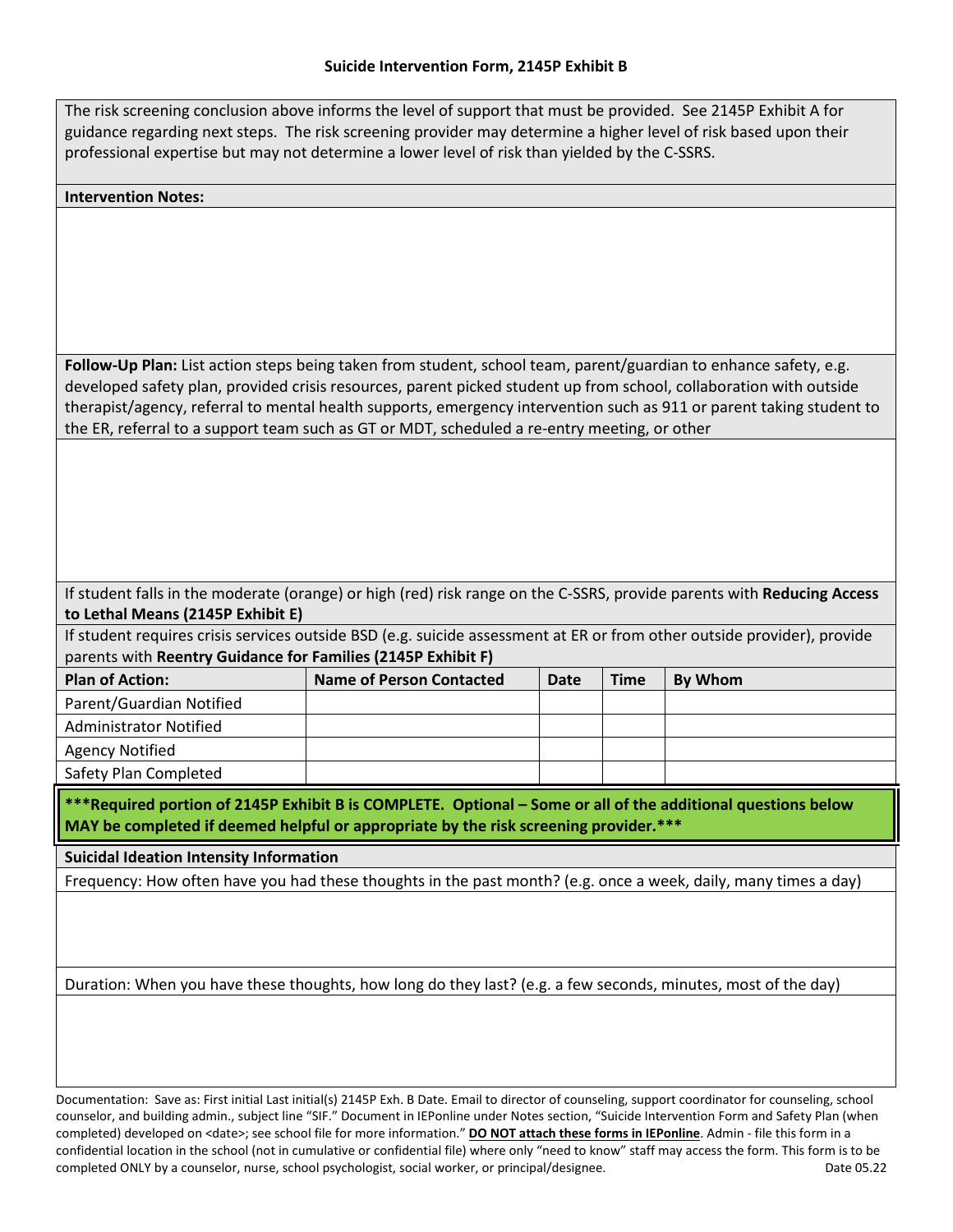The risk screening conclusion above informs the level of support that must be provided. See 2145P Exhibit A for guidance regarding next steps. The risk screening provider may determine a higher level of risk based upon their professional expertise but may not determine a lower level of risk than yielded by the C-SSRS.

#### **Intervention Notes:**

**Follow-Up Plan:** List action steps being taken from student, school team, parent/guardian to enhance safety, e.g. developed safety plan, provided crisis resources, parent picked student up from school, collaboration with outside therapist/agency, referral to mental health supports, emergency intervention such as 911 or parent taking student to the ER, referral to a support team such as GT or MDT, scheduled a re-entry meeting, or other

If student falls in the moderate (orange) or high (red) risk range on the C-SSRS, provide parents with **Reducing Access to Lethal Means (2145P Exhibit E)**

If student requires crisis services outside BSD (e.g. suicide assessment at ER or from other outside provider), provide parents with **Reentry Guidance for Families (2145P Exhibit F)**

| <b>Plan of Action:</b>        | Name of Person Contacted | Date | <b>Time</b> | <b>By Whom</b> |
|-------------------------------|--------------------------|------|-------------|----------------|
| Parent/Guardian Notified      |                          |      |             |                |
| <b>Administrator Notified</b> |                          |      |             |                |
| <b>Agency Notified</b>        |                          |      |             |                |
| Safety Plan Completed         |                          |      |             |                |

**\*\*\*Required portion of 2145P Exhibit B is COMPLETE. Optional – Some or all of the additional questions below MAY be completed if deemed helpful or appropriate by the risk screening provider.\*\*\***

**Suicidal Ideation Intensity Information**

Frequency: How often have you had these thoughts in the past month? (e.g. once a week, daily, many times a day)

Duration: When you have these thoughts, how long do they last? (e.g. a few seconds, minutes, most of the day)

Documentation: Save as: First initial Last initial(s) 2145P Exh. B Date. Email to director of counseling, support coordinator for counseling, school counselor, and building admin., subject line "SIF." Document in IEPonline under Notes section, "Suicide Intervention Form and Safety Plan (when completed) developed on <date>; see school file for more information." **DO NOT attach these forms in IEPonline**. Admin - file this form in a confidential location in the school (not in cumulative or confidential file) where only "need to know" staff may access the form. This form is to be completed ONLY by a counselor, nurse, school psychologist, social worker, or principal/designee. Date 05.22